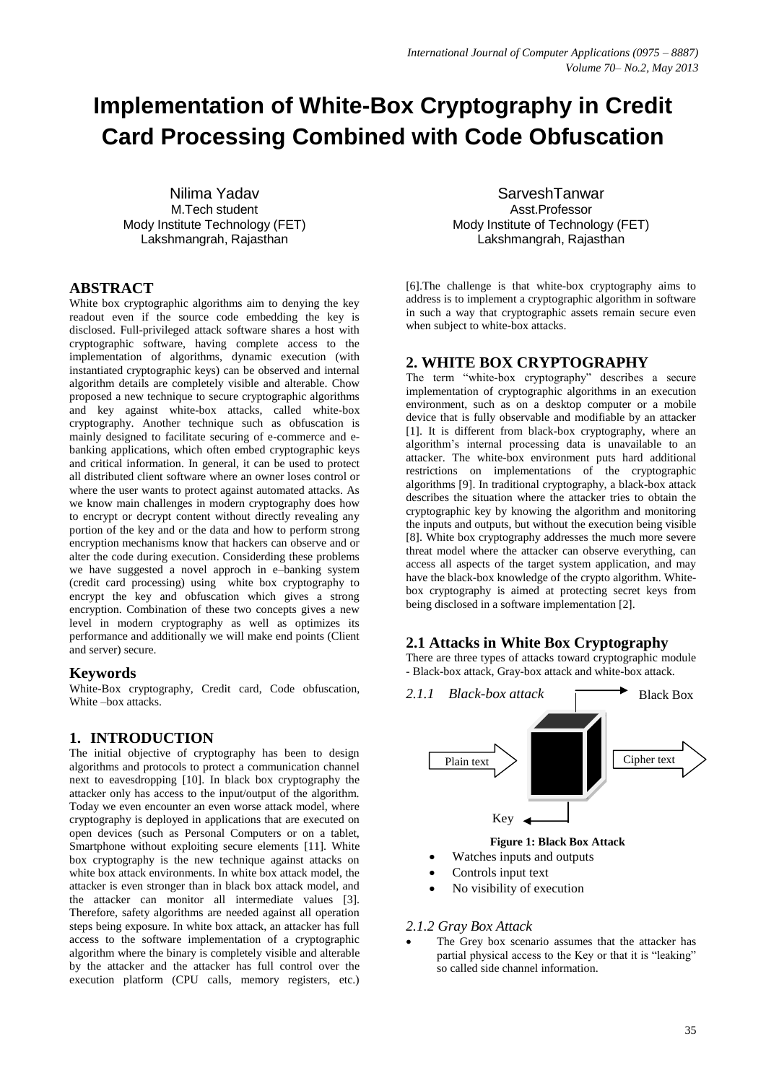# **Implementation of White-Box Cryptography in Credit Card Processing Combined with Code Obfuscation**

Nilima Yadav M.Tech student Mody Institute Technology (FET) Lakshmangrah, Rajasthan

#### **ABSTRACT**

White box cryptographic algorithms aim to denying the key readout even if the source code embedding the key is disclosed. Full-privileged attack software shares a host with cryptographic software, having complete access to the implementation of algorithms, dynamic execution (with instantiated cryptographic keys) can be observed and internal algorithm details are completely visible and alterable. Chow proposed a new technique to secure cryptographic algorithms and key against white-box attacks, called white-box cryptography. Another technique such as obfuscation is mainly designed to facilitate securing of e-commerce and ebanking applications, which often embed cryptographic keys and critical information. In general, it can be used to protect all distributed client software where an owner loses control or where the user wants to protect against automated attacks. As we know main challenges in modern cryptography does how to encrypt or decrypt content without directly revealing any portion of the key and or the data and how to perform strong encryption mechanisms know that hackers can observe and or alter the code during execution. Considerding these problems we have suggested a novel approch in e–banking system (credit card processing) using white box cryptography to encrypt the key and obfuscation which gives a strong encryption. Combination of these two concepts gives a new level in modern cryptography as well as optimizes its performance and additionally we will make end points (Client and server) secure.

#### **Keywords**

White-Box cryptography, Credit card, Code obfuscation, White – box attacks.

## **1. INTRODUCTION**

The initial objective of cryptography has been to design algorithms and protocols to protect a communication channel next to eavesdropping [10]. In black box cryptography the attacker only has access to the input/output of the algorithm. Today we even encounter an even worse attack model, where cryptography is deployed in applications that are executed on open devices (such as Personal Computers or on a tablet, Smartphone without exploiting secure elements [11]. White box cryptography is the new technique against attacks on white box attack environments. In white box attack model, the attacker is even stronger than in black box attack model, and the attacker can monitor all intermediate values [3]. Therefore, safety algorithms are needed against all operation steps being exposure. In white box attack, an attacker has full access to the software implementation of a cryptographic algorithm where the binary is completely visible and alterable by the attacker and the attacker has full control over the execution platform (CPU calls, memory registers, etc.)

SarveshTanwar Asst.Professor Mody Institute of Technology (FET) Lakshmangrah, Rajasthan

[6].The challenge is that white-box cryptography aims to address is to implement a cryptographic algorithm in software in such a way that cryptographic assets remain secure even when subject to white-box attacks.

## **2. WHITE BOX CRYPTOGRAPHY**

The term "white-box cryptography" describes a secure implementation of cryptographic algorithms in an execution environment, such as on a desktop computer or a mobile device that is fully observable and modifiable by an attacker [1]. It is different from black-box cryptography, where an algorithm's internal processing data is unavailable to an attacker. The white-box environment puts hard additional restrictions on implementations of the cryptographic algorithms [9]. In traditional cryptography, a black-box attack describes the situation where the attacker tries to obtain the cryptographic key by knowing the algorithm and monitoring the inputs and outputs, but without the execution being visible [8]. White box cryptography addresses the much more severe threat model where the attacker can observe everything, can access all aspects of the target system application, and may have the black-box knowledge of the crypto algorithm. Whitebox cryptography is aimed at protecting secret keys from being disclosed in a software implementation [2].

## **2.1 Attacks in White Box Cryptography**

There are three types of attacks toward cryptographic module - Black-box attack, Gray-box attack and white-box attack.



# Watches inputs and outputs

- Controls input text
- No visibility of execution

#### *2.1.2 Gray Box Attack*

 The Grey box scenario assumes that the attacker has partial physical access to the Key or that it is "leaking" so called side channel information.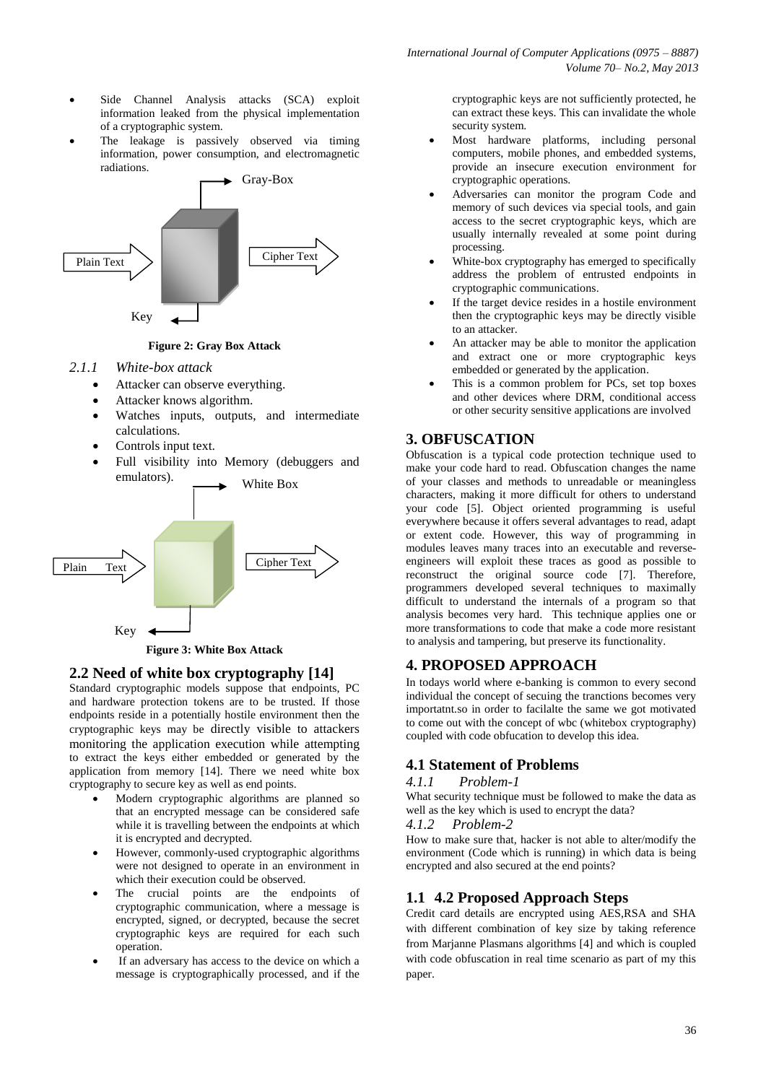- Side Channel Analysis attacks (SCA) exploit information leaked from the physical implementation of a cryptographic system.
- The leakage is passively observed via timing information, power consumption, and electromagnetic radiations.



#### **Figure 2: Gray Box Attack**

#### *2.1.1 White-box attack*

- Attacker can observe everything.
- Attacker knows algorithm.
- Watches inputs, outputs, and intermediate calculations.
- Controls input text.
- Full visibility into Memory (debuggers and emulators).



**Figure 3: White Box Attack**

#### **2.2 Need of white box cryptography [14]**

Standard cryptographic models suppose that endpoints, PC and hardware protection tokens are to be trusted. If those endpoints reside in a potentially hostile environment then the cryptographic keys may be directly visible to attackers monitoring the application execution while attempting to extract the keys either embedded or generated by the application from memory [14]. There we need white box cryptography to secure key as well as end points.

- Modern cryptographic algorithms are planned so that an encrypted message can be considered safe while it is travelling between the endpoints at which it is encrypted and decrypted.
- However, commonly-used cryptographic algorithms were not designed to operate in an environment in which their execution could be observed.
- The crucial points are the endpoints of cryptographic communication, where a message is encrypted, signed, or decrypted, because the secret cryptographic keys are required for each such operation.
- If an adversary has access to the device on which a message is cryptographically processed, and if the

cryptographic keys are not sufficiently protected, he can extract these keys. This can invalidate the whole security system.

- Most hardware platforms, including personal computers, mobile phones, and embedded systems, provide an insecure execution environment for cryptographic operations.
- Adversaries can monitor the program Code and memory of such devices via special tools, and gain access to the secret cryptographic keys, which are usually internally revealed at some point during processing.
- White-box cryptography has emerged to specifically address the problem of entrusted endpoints in cryptographic communications.
- If the target device resides in a hostile environment then the cryptographic keys may be directly visible to an attacker.
- An attacker may be able to monitor the application and extract one or more cryptographic keys embedded or generated by the application.
- This is a common problem for PCs, set top boxes and other devices where DRM, conditional access or other security sensitive applications are involved

# **3. OBFUSCATION**

Obfuscation is a typical code protection technique used to make your code hard to read. Obfuscation changes the name of your classes and methods to unreadable or meaningless characters, making it more difficult for others to understand your code [5]. Object oriented programming is useful everywhere because it offers several advantages to read, adapt or extent code. However, this way of programming in modules leaves many traces into an executable and reverseengineers will exploit these traces as good as possible to reconstruct the original source code [7]. Therefore, programmers developed several techniques to maximally difficult to understand the internals of a program so that analysis becomes very hard. This technique applies one or more transformations to code that make a code more resistant to analysis and tampering, but preserve its functionality.

# **4. PROPOSED APPROACH**

In todays world where e-banking is common to every second individual the concept of secuing the tranctions becomes very importatnt.so in order to facilalte the same we got motivated to come out with the concept of wbc (whitebox cryptography) coupled with code obfucation to develop this idea.

## **4.1 Statement of Problems**

#### *4.1.1 Problem-1*

What security technique must be followed to make the data as well as the key which is used to encrypt the data?

#### *4.1.2 Problem-2*

How to make sure that, hacker is not able to alter/modify the environment (Code which is running) in which data is being encrypted and also secured at the end points?

# **1.1 4.2 Proposed Approach Steps**

Credit card details are encrypted using AES,RSA and SHA with different combination of key size by taking reference from Marjanne Plasmans algorithms [4] and which is coupled with code obfuscation in real time scenario as part of my this paper.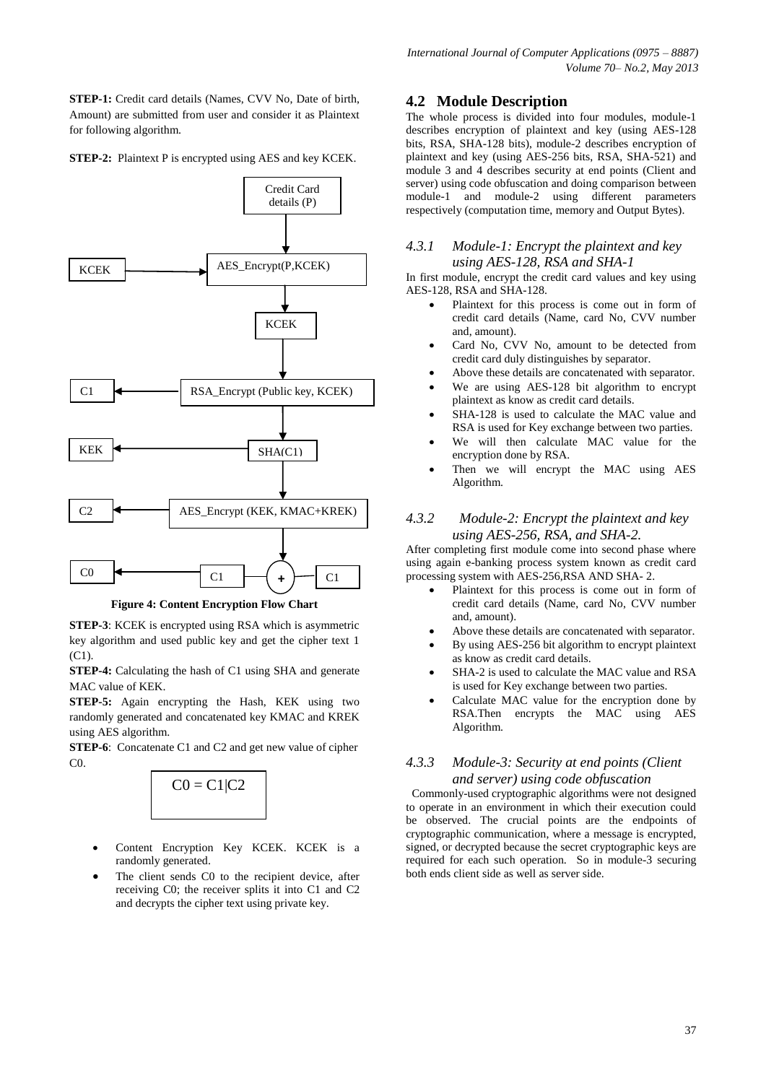**STEP-1:** Credit card details (Names, CVV No, Date of birth, Amount) are submitted from user and consider it as Plaintext for following algorithm.

#### **STEP-2:** Plaintext P is encrypted using AES and key KCEK.



**Figure 4: Content Encryption Flow Chart**

**STEP-3**: KCEK is encrypted using RSA which is asymmetric key algorithm and used public key and get the cipher text 1 (C1).

**STEP-4:** Calculating the hash of C1 using SHA and generate MAC value of KEK.

**STEP-5:** Again encrypting the Hash, KEK using two randomly generated and concatenated key KMAC and KREK using AES algorithm.

**STEP-6**: Concatenate C1 and C2 and get new value of cipher  $C<sub>0</sub>$ 



- Content Encryption Key KCEK. KCEK is a randomly generated.
- The client sends C0 to the recipient device, after receiving C0; the receiver splits it into C1 and C2 and decrypts the cipher text using private key.

#### **4.2 Module Description**

The whole process is divided into four modules, module-1 describes encryption of plaintext and key (using AES-128 bits, RSA, SHA-128 bits), module-2 describes encryption of plaintext and key (using AES-256 bits, RSA, SHA-521) and module 3 and 4 describes security at end points (Client and server) using code obfuscation and doing comparison between module-1 and module-2 using different parameters respectively (computation time, memory and Output Bytes).

#### *4.3.1 Module-1: Encrypt the plaintext and key using AES-128, RSA and SHA-1*

In first module, encrypt the credit card values and key using AES-128, RSA and SHA-128.

- Plaintext for this process is come out in form of credit card details (Name, card No, CVV number and, amount).
- Card No, CVV No, amount to be detected from credit card duly distinguishes by separator.
- Above these details are concatenated with separator.
- We are using AES-128 bit algorithm to encrypt plaintext as know as credit card details.
- SHA-128 is used to calculate the MAC value and RSA is used for Key exchange between two parties.
- We will then calculate MAC value for the encryption done by RSA.
- Then we will encrypt the MAC using AES Algorithm.

#### *4.3.2 Module-2: Encrypt the plaintext and key using AES-256, RSA, and SHA-2.*

After completing first module come into second phase where using again e-banking process system known as credit card processing system with AES-256,RSA AND SHA- 2.

- Plaintext for this process is come out in form of credit card details (Name, card No, CVV number and, amount).
- Above these details are concatenated with separator.
- By using AES-256 bit algorithm to encrypt plaintext as know as credit card details.
- SHA-2 is used to calculate the MAC value and RSA is used for Key exchange between two parties.
- Calculate MAC value for the encryption done by RSA.Then encrypts the MAC using AES Algorithm.

#### *4.3.3 Module-3: Security at end points (Client and server) using code obfuscation*

 Commonly-used cryptographic algorithms were not designed to operate in an environment in which their execution could be observed. The crucial points are the endpoints of cryptographic communication, where a message is encrypted, signed, or decrypted because the secret cryptographic keys are required for each such operation. So in module-3 securing both ends client side as well as server side.